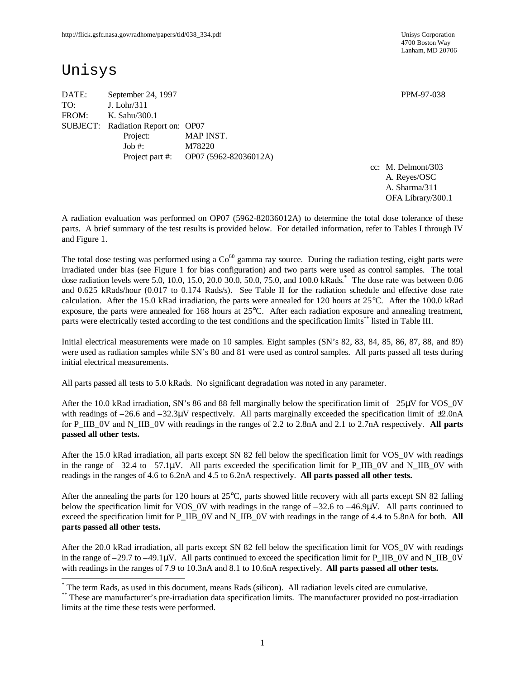4700 Boston Way Lanham, MD 20706

# Unisys

-

DATE: September 24, 1997 PPM-97-038 TO: J. Lohr/311 FROM: K. Sahu/300.1 SUBJECT: Radiation Report on: OP07 Project: MAP INST. Job #: M78220 Project part #: OP07 (5962-82036012A)

cc: M. Delmont/303 A. Reyes/OSC A. Sharma/311 OFA Library/300.1

A radiation evaluation was performed on OP07 (5962-82036012A) to determine the total dose tolerance of these parts. A brief summary of the test results is provided below. For detailed information, refer to Tables I through IV and Figure 1.

The total dose testing was performed using a  $Co<sup>60</sup>$  gamma ray source. During the radiation testing, eight parts were irradiated under bias (see Figure 1 for bias configuration) and two parts were used as control samples. The total dose radiation levels were 5.0, 10.0, 15.0, 20.0 30.0, 50.0, 75.0, and 100.0 kRads. \* The dose rate was between 0.06 and 0.625 kRads/hour (0.017 to 0.174 Rads/s). See Table II for the radiation schedule and effective dose rate calculation. After the 15.0 kRad irradiation, the parts were annealed for 120 hours at 25°C. After the 100.0 kRad exposure, the parts were annealed for 168 hours at 25°C. After each radiation exposure and annealing treatment, parts were electrically tested according to the test conditions and the specification limits\*\* listed in Table III.

Initial electrical measurements were made on 10 samples. Eight samples (SN's 82, 83, 84, 85, 86, 87, 88, and 89) were used as radiation samples while SN's 80 and 81 were used as control samples. All parts passed all tests during initial electrical measurements.

All parts passed all tests to 5.0 kRads. No significant degradation was noted in any parameter.

After the 10.0 kRad irradiation, SN's 86 and 88 fell marginally below the specification limit of  $-25\mu$ V for VOS 0V with readings of  $-26.6$  and  $-32.3\mu$ V respectively. All parts marginally exceeded the specification limit of  $\pm 2.0\mu$ A for P\_IIB\_0V and N\_IIB\_0V with readings in the ranges of 2.2 to 2.8nA and 2.1 to 2.7nA respectively. **All parts passed all other tests.**

After the 15.0 kRad irradiation, all parts except SN 82 fell below the specification limit for VOS\_0V with readings in the range of  $-32.4$  to  $-57.1\mu$ V. All parts exceeded the specification limit for P\_IIB\_0V and N\_IIB\_0V with readings in the ranges of 4.6 to 6.2nA and 4.5 to 6.2nA respectively. **All parts passed all other tests.**

After the annealing the parts for 120 hours at 25°C, parts showed little recovery with all parts except SN 82 falling below the specification limit for VOS 0V with readings in the range of  $-32.6$  to  $-46.9\mu$ V. All parts continued to exceed the specification limit for P\_IIB\_0V and N\_IIB\_0V with readings in the range of 4.4 to 5.8nA for both. **All parts passed all other tests.**

After the 20.0 kRad irradiation, all parts except SN 82 fell below the specification limit for VOS\_0V with readings in the range of  $-29.7$  to  $-49.1\mu$ V. All parts continued to exceed the specification limit for P\_IIB\_0V and N\_IIB\_0V with readings in the ranges of 7.9 to 10.3nA and 8.1 to 10.6nA respectively. **All parts passed all other tests.**

<sup>\*</sup> The term Rads, as used in this document, means Rads (silicon). All radiation levels cited are cumulative.

<sup>\*\*</sup> These are manufacturer's pre-irradiation data specification limits. The manufacturer provided no post-irradiation limits at the time these tests were performed.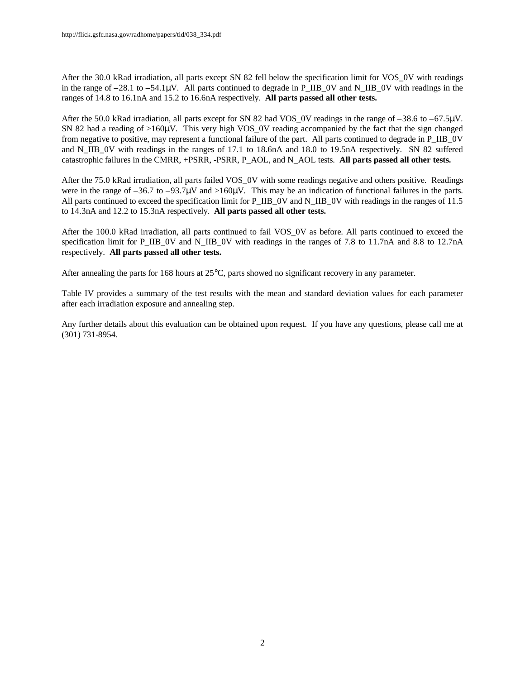After the 30.0 kRad irradiation, all parts except SN 82 fell below the specification limit for VOS\_0V with readings in the range of  $-28.1$  to  $-54.1\mu$ V. All parts continued to degrade in P\_IIB\_0V and N\_IIB\_0V with readings in the ranges of 14.8 to 16.1nA and 15.2 to 16.6nA respectively. **All parts passed all other tests.**

After the 50.0 kRad irradiation, all parts except for SN 82 had VOS 0V readings in the range of  $-38.6$  to  $-67.5\mu$ V. SN 82 had a reading of >160μV. This very high VOS\_0V reading accompanied by the fact that the sign changed from negative to positive, may represent a functional failure of the part. All parts continued to degrade in P\_IIB\_0V and N\_IIB\_0V with readings in the ranges of 17.1 to 18.6nA and 18.0 to 19.5nA respectively. SN 82 suffered catastrophic failures in the CMRR, +PSRR, -PSRR, P\_AOL, and N\_AOL tests. **All parts passed all other tests.**

After the 75.0 kRad irradiation, all parts failed VOS\_0V with some readings negative and others positive. Readings were in the range of –36.7 to –93.7 $\mu$ V and >160 $\mu$ V. This may be an indication of functional failures in the parts. All parts continued to exceed the specification limit for P\_IIB\_0V and N\_IIB\_0V with readings in the ranges of 11.5 to 14.3nA and 12.2 to 15.3nA respectively. **All parts passed all other tests.**

After the 100.0 kRad irradiation, all parts continued to fail VOS\_0V as before. All parts continued to exceed the specification limit for P\_IIB\_0V and N\_IIB\_0V with readings in the ranges of 7.8 to 11.7nA and 8.8 to 12.7nA respectively. **All parts passed all other tests.**

After annealing the parts for 168 hours at 25°C, parts showed no significant recovery in any parameter.

Table IV provides a summary of the test results with the mean and standard deviation values for each parameter after each irradiation exposure and annealing step.

Any further details about this evaluation can be obtained upon request. If you have any questions, please call me at (301) 731-8954.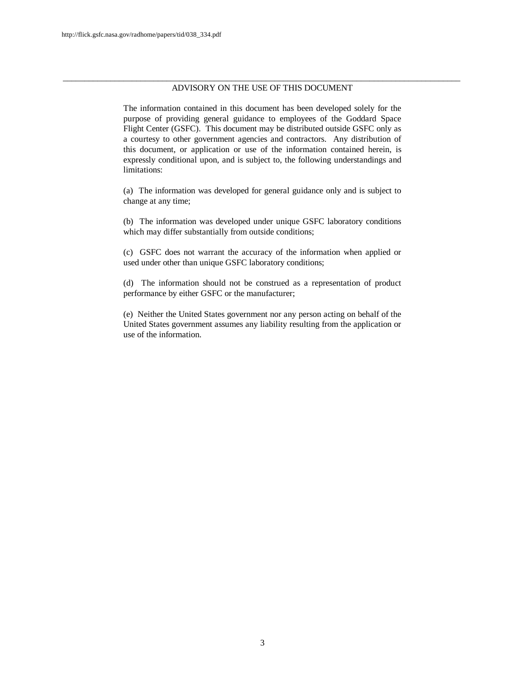#### \_\_\_\_\_\_\_\_\_\_\_\_\_\_\_\_\_\_\_\_\_\_\_\_\_\_\_\_\_\_\_\_\_\_\_\_\_\_\_\_\_\_\_\_\_\_\_\_\_\_\_\_\_\_\_\_\_\_\_\_\_\_\_\_\_\_\_\_\_\_\_\_\_\_\_\_\_\_\_\_\_\_\_\_\_\_\_\_\_\_\_\_ ADVISORY ON THE USE OF THIS DOCUMENT

The information contained in this document has been developed solely for the purpose of providing general guidance to employees of the Goddard Space Flight Center (GSFC). This document may be distributed outside GSFC only as a courtesy to other government agencies and contractors. Any distribution of this document, or application or use of the information contained herein, is expressly conditional upon, and is subject to, the following understandings and limitations:

(a) The information was developed for general guidance only and is subject to change at any time;

(b) The information was developed under unique GSFC laboratory conditions which may differ substantially from outside conditions;

(c) GSFC does not warrant the accuracy of the information when applied or used under other than unique GSFC laboratory conditions;

(d) The information should not be construed as a representation of product performance by either GSFC or the manufacturer;

(e) Neither the United States government nor any person acting on behalf of the United States government assumes any liability resulting from the application or use of the information.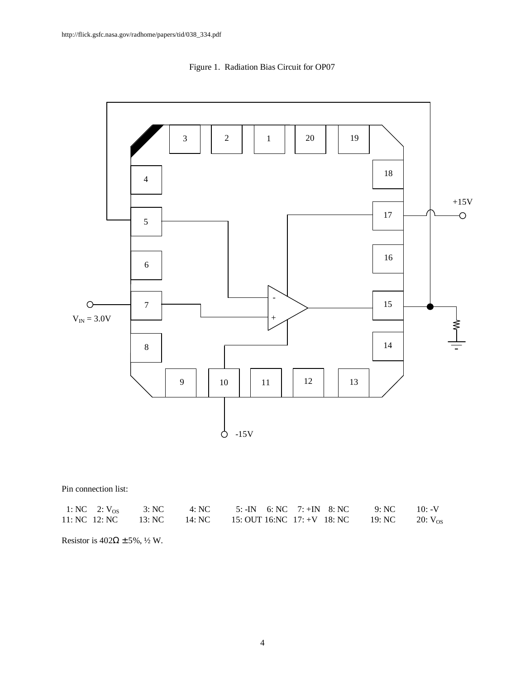



Pin connection list:

|  |  | 1: NC 2: $V_{OS}$ 3: NC 4: NC 5: -IN 6: NC 7: +IN 8: NC 9: NC 10: -V         |  |  |
|--|--|------------------------------------------------------------------------------|--|--|
|  |  | 11: NC 12: NC 13: NC 14: NC 15: OUT 16: NC 17: +V 18: NC 19: NC 20: $V_{OS}$ |  |  |

Resistor is  $402\Omega \pm 5\%$ , ½ W.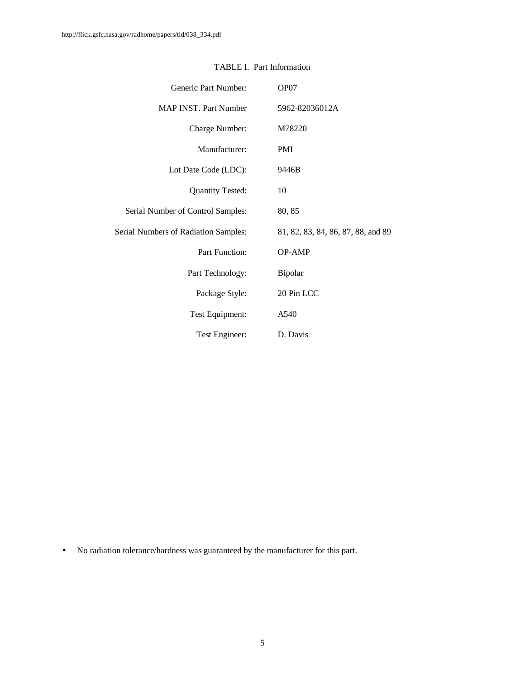| Generic Part Number:                 | OP07                               |
|--------------------------------------|------------------------------------|
| MAP INST. Part Number                | 5962-82036012A                     |
| Charge Number:                       | M78220                             |
| Manufacturer:                        | <b>PMI</b>                         |
| Lot Date Code (LDC):                 | 9446B                              |
| <b>Quantity Tested:</b>              | 10                                 |
| Serial Number of Control Samples:    | 80, 85                             |
| Serial Numbers of Radiation Samples: | 81, 82, 83, 84, 86, 87, 88, and 89 |
| <b>Part Function:</b>                | <b>OP-AMP</b>                      |
| Part Technology:                     | Bipolar                            |
| Package Style:                       | 20 Pin LCC                         |
| Test Equipment:                      | A540                               |
| Test Engineer:                       | D. Davis                           |

## TABLE I. Part Information

• No radiation tolerance/hardness was guaranteed by the manufacturer for this part.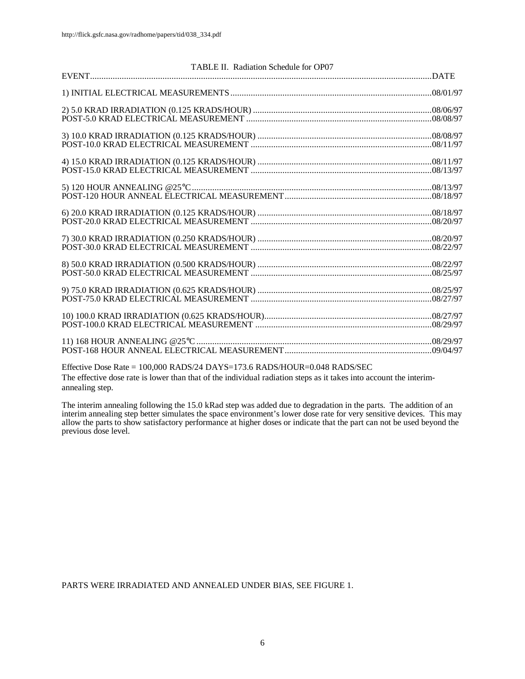| TABLE II. Radiation Schedule for OP07 |
|---------------------------------------|
|                                       |
|                                       |
|                                       |
|                                       |
|                                       |
|                                       |
|                                       |
|                                       |
|                                       |
|                                       |
|                                       |
|                                       |
|                                       |
|                                       |
|                                       |
|                                       |
|                                       |
|                                       |
|                                       |
|                                       |
|                                       |
|                                       |

Effective Dose Rate = 100,000 RADS/24 DAYS=173.6 RADS/HOUR=0.048 RADS/SEC The effective dose rate is lower than that of the individual radiation steps as it takes into account the interimannealing step.

The interim annealing following the 15.0 kRad step was added due to degradation in the parts. The addition of an interim annealing step better simulates the space environment's lower dose rate for very sensitive devices. This may allow the parts to show satisfactory performance at higher doses or indicate that the part can not be used beyond the previous dose level.

PARTS WERE IRRADIATED AND ANNEALED UNDER BIAS, SEE FIGURE 1.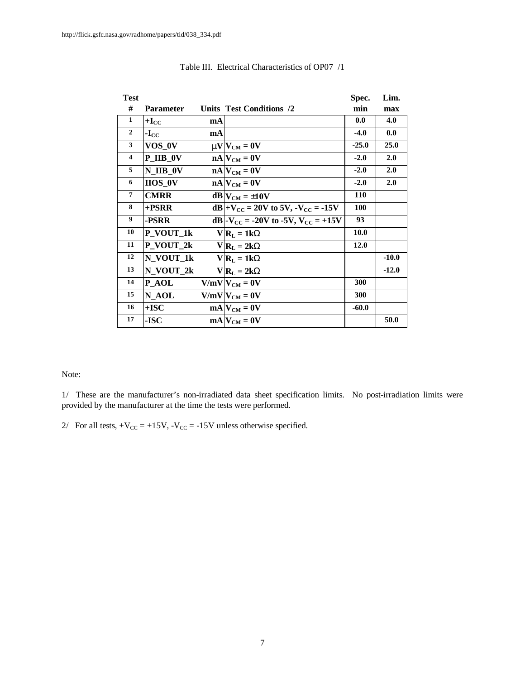| <b>Test</b>             |                  |    |                                                           | Spec.   | Lim.    |
|-------------------------|------------------|----|-----------------------------------------------------------|---------|---------|
| #                       | <b>Parameter</b> |    | Units Test Conditions /2                                  | min     | max     |
| 1                       | $+I_{CC}$        | mA |                                                           | 0.0     | 4.0     |
| $\mathbf{2}$            | $-I_{CC}$        | mA |                                                           | $-4.0$  | 0.0     |
| 3                       | VOS_0V           |    | $mV_{CM} = 0V$                                            | $-25.0$ | 25.0    |
| $\overline{\mathbf{4}}$ | <b>P_IIB_0V</b>  |    | $nA$ $V_{CM} = 0V$                                        | $-2.0$  | 2.0     |
| 5                       | $N$ _IIB_0V      |    | $nA$ $V_{CM} = 0V$                                        | $-2.0$  | 2.0     |
| 6                       | $IIOS_0V$        |    | $nA$ $V_{CM} = 0V$                                        | $-2.0$  | 2.0     |
| $\overline{7}$          | <b>CMRR</b>      |    | $dB V_{CM} = \pm 10V$                                     | 110     |         |
| 8                       | +PSRR            |    | dB + $V_{\text{CC}}$ = 20V to 5V, $-V_{\text{CC}}$ = -15V | 100     |         |
| 9                       | -PSRR            |    | dB -V <sub>CC</sub> = -20V to -5V, V <sub>CC</sub> = +15V | 93      |         |
| 10                      | P_VOUT_1k        |    | $V R_L = 1kW$                                             | 10.0    |         |
| 11                      | P_VOUT_2k        |    | $V R_L = 2kW$                                             | 12.0    |         |
| 12                      | N VOUT 1k        |    | $V R_L = 1kW$                                             |         | $-10.0$ |
| 13                      | N_VOUT_2k        |    | $V R_L = 2kW$                                             |         | $-12.0$ |
| 14                      | <b>P_AOL</b>     |    | $V/mV V_{CM} = 0V$                                        | 300     |         |
| 15                      | N AOL            |    | $V/mV V_{CM} = 0V$                                        | 300     |         |
| 16                      | $+$ ISC          |    | $mA V_{CM} = 0V$                                          | $-60.0$ |         |
| 17                      | -ISC             |    | $mA V_{CM} = 0V$                                          |         | 50.0    |

### Table III. Electrical Characteristics of OP07 /1

#### Note:

1/ These are the manufacturer's non-irradiated data sheet specification limits. No post-irradiation limits were provided by the manufacturer at the time the tests were performed.

2/ For all tests,  $+V_{CC} = +15V$ ,  $-V_{CC} = -15V$  unless otherwise specified.